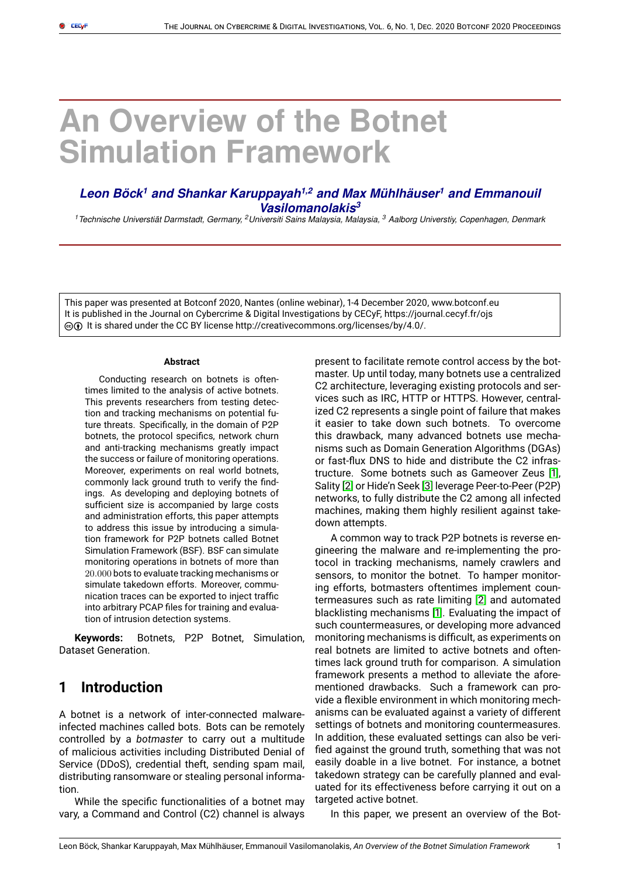# **An Overview of the Botnet Simulation Framework**

# Leon Böck<sup>1</sup> and Shankar Karuppayah<sup>1,2</sup> and Max Mühlhäuser<sup>1</sup> and Emmanouil *Vasilomanolakis<sup>3</sup>*

*<sup>1</sup>Technische Universtiat Darmstadt, Germany, ¨ <sup>2</sup>Universiti Sains Malaysia, Malaysia, <sup>3</sup> Aalborg Universtiy, Copenhagen, Denmark*

This paper was presented at Botconf 2020, Nantes (online webinar), 1-4 December 2020, www.botconf.eu It is published in the Journal on Cybercrime & Digital Investigations by CECyF, https://journal.cecyf.fr/ojs  $\textcircled{c}$  It is shared under the CC BY license http://creativecommons.org/licenses/by/4.0/.

#### **Abstract**

Conducting research on botnets is oftentimes limited to the analysis of active botnets. This prevents researchers from testing detection and tracking mechanisms on potential future threats. Specifically, in the domain of P2P botnets, the protocol specifics, network churn and anti-tracking mechanisms greatly impact the success or failure of monitoring operations. Moreover, experiments on real world botnets, commonly lack ground truth to verify the findings. As developing and deploying botnets of sufficient size is accompanied by large costs and administration efforts, this paper attempts to address this issue by introducing a simulation framework for P2P botnets called Botnet Simulation Framework (BSF). BSF can simulate monitoring operations in botnets of more than 20.000 bots to evaluate tracking mechanisms or simulate takedown efforts. Moreover, communication traces can be exported to inject traffic into arbitrary PCAP files for training and evaluation of intrusion detection systems.

**Keywords:** Botnets, P2P Botnet, Simulation, Dataset Generation.

# **1 Introduction**

A botnet is a network of inter-connected malwareinfected machines called bots. Bots can be remotely controlled by a *botmaster* to carry out a multitude of malicious activities including Distributed Denial of Service (DDoS), credential theft, sending spam mail, distributing ransomware or stealing personal information.

While the specific functionalities of a botnet may vary, a Command and Control (C2) channel is always

present to facilitate remote control access by the botmaster. Up until today, many botnets use a centralized C2 architecture, leveraging existing protocols and services such as IRC, HTTP or HTTPS. However, centralized C2 represents a single point of failure that makes it easier to take down such botnets. To overcome this drawback, many advanced botnets use mechanisms such as Domain Generation Algorithms (DGAs) or fast-flux DNS to hide and distribute the C2 infrastructure. Some botnets such as Gameover Zeus [\[1\]](#page-8-0), Sality [\[2\]](#page-8-1) or Hide'n Seek [\[3\]](#page-9-0) leverage Peer-to-Peer (P2P) networks, to fully distribute the C2 among all infected machines, making them highly resilient against takedown attempts.

A common way to track P2P botnets is reverse engineering the malware and re-implementing the protocol in tracking mechanisms, namely crawlers and sensors, to monitor the botnet. To hamper monitoring efforts, botmasters oftentimes implement countermeasures such as rate limiting [\[2\]](#page-8-1) and automated blacklisting mechanisms [\[1\]](#page-8-0). Evaluating the impact of such countermeasures, or developing more advanced monitoring mechanisms is difficult, as experiments on real botnets are limited to active botnets and oftentimes lack ground truth for comparison. A simulation framework presents a method to alleviate the aforementioned drawbacks. Such a framework can provide a flexible environment in which monitoring mechanisms can be evaluated against a variety of different settings of botnets and monitoring countermeasures. In addition, these evaluated settings can also be verified against the ground truth, something that was not easily doable in a live botnet. For instance, a botnet takedown strategy can be carefully planned and evaluated for its effectiveness before carrying it out on a targeted active botnet.

In this paper, we present an overview of the Bot-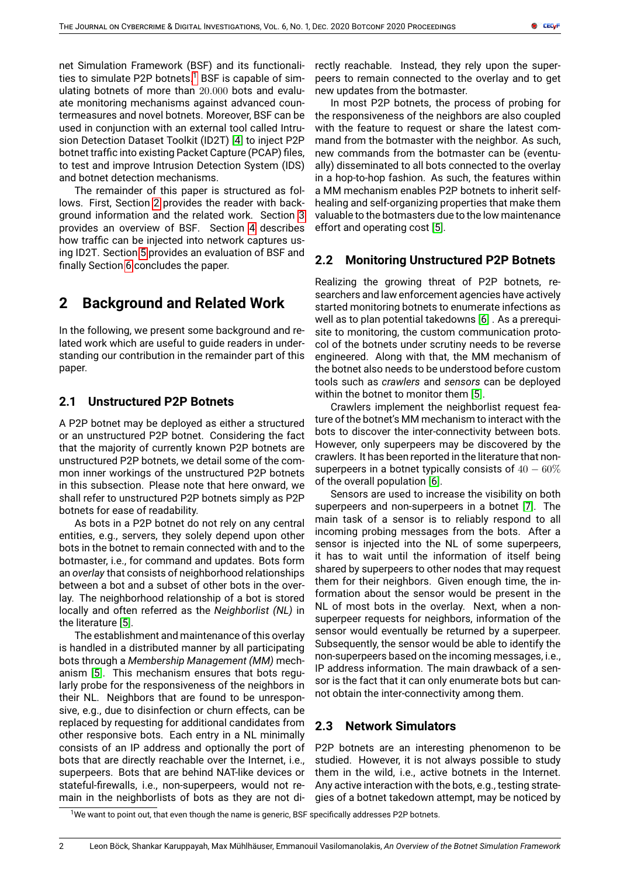net Simulation Framework (BSF) and its functionali-ties to simulate P2P botnets.<sup>[1](#page-1-0)</sup> BSF is capable of simulating botnets of more than 20.000 bots and evaluate monitoring mechanisms against advanced countermeasures and novel botnets. Moreover, BSF can be used in conjunction with an external tool called Intrusion Detection Dataset Toolkit (ID2T) [\[4\]](#page-9-1) to inject P2P botnet traffic into existing Packet Capture (PCAP) files, to test and improve Intrusion Detection System (IDS) and botnet detection mechanisms.

The remainder of this paper is structured as follows. First, Section [2](#page-1-1) provides the reader with background information and the related work. Section [3](#page-2-0) provides an overview of BSF. Section [4](#page-4-0) describes how traffic can be injected into network captures using ID2T. Section [5](#page-6-0) provides an evaluation of BSF and finally Section [6](#page-8-2) concludes the paper.

# <span id="page-1-1"></span>**2 Background and Related Work**

In the following, we present some background and related work which are useful to guide readers in understanding our contribution in the remainder part of this paper.

# **2.1 Unstructured P2P Botnets**

A P2P botnet may be deployed as either a structured or an unstructured P2P botnet. Considering the fact that the majority of currently known P2P botnets are unstructured P2P botnets, we detail some of the common inner workings of the unstructured P2P botnets in this subsection. Please note that here onward, we shall refer to unstructured P2P botnets simply as P2P botnets for ease of readability.

As bots in a P2P botnet do not rely on any central entities, e.g., servers, they solely depend upon other bots in the botnet to remain connected with and to the botmaster, i.e., for command and updates. Bots form an *overlay* that consists of neighborhood relationships between a bot and a subset of other bots in the overlay. The neighborhood relationship of a bot is stored locally and often referred as the *Neighborlist (NL)* in the literature [\[5\]](#page-9-2).

The establishment and maintenance of this overlay is handled in a distributed manner by all participating bots through a *Membership Management (MM)* mechanism [\[5\]](#page-9-2). This mechanism ensures that bots regularly probe for the responsiveness of the neighbors in their NL. Neighbors that are found to be unresponsive, e.g., due to disinfection or churn effects, can be replaced by requesting for additional candidates from other responsive bots. Each entry in a NL minimally consists of an IP address and optionally the port of bots that are directly reachable over the Internet, i.e., superpeers. Bots that are behind NAT-like devices or stateful-firewalls, i.e., non-superpeers, would not remain in the neighborlists of bots as they are not directly reachable. Instead, they rely upon the superpeers to remain connected to the overlay and to get new updates from the botmaster.

In most P2P botnets, the process of probing for the responsiveness of the neighbors are also coupled with the feature to request or share the latest command from the botmaster with the neighbor. As such, new commands from the botmaster can be (eventually) disseminated to all bots connected to the overlay in a hop-to-hop fashion. As such, the features within a MM mechanism enables P2P botnets to inherit selfhealing and self-organizing properties that make them valuable to the botmasters due to the low maintenance effort and operating cost [\[5\]](#page-9-2).

# **2.2 Monitoring Unstructured P2P Botnets**

Realizing the growing threat of P2P botnets, researchers and law enforcement agencies have actively started monitoring botnets to enumerate infections as well as to plan potential takedowns [\[6\]](#page-9-3) . As a prerequisite to monitoring, the custom communication protocol of the botnets under scrutiny needs to be reverse engineered. Along with that, the MM mechanism of the botnet also needs to be understood before custom tools such as *crawlers* and *sensors* can be deployed within the botnet to monitor them [\[5\]](#page-9-2).

Crawlers implement the neighborlist request feature of the botnet's MM mechanism to interact with the bots to discover the inter-connectivity between bots. However, only superpeers may be discovered by the crawlers. It has been reported in the literature that nonsuperpeers in a botnet typically consists of  $40 - 60\%$ of the overall population [\[6\]](#page-9-3).

Sensors are used to increase the visibility on both superpeers and non-superpeers in a botnet [\[7\]](#page-9-4). The main task of a sensor is to reliably respond to all incoming probing messages from the bots. After a sensor is injected into the NL of some superpeers, it has to wait until the information of itself being shared by superpeers to other nodes that may request them for their neighbors. Given enough time, the information about the sensor would be present in the NL of most bots in the overlay. Next, when a nonsuperpeer requests for neighbors, information of the sensor would eventually be returned by a superpeer. Subsequently, the sensor would be able to identify the non-superpeers based on the incoming messages, i.e., IP address information. The main drawback of a sensor is the fact that it can only enumerate bots but cannot obtain the inter-connectivity among them.

## <span id="page-1-2"></span>**2.3 Network Simulators**

P2P botnets are an interesting phenomenon to be studied. However, it is not always possible to study them in the wild, i.e., active botnets in the Internet. Any active interaction with the bots, e.g., testing strategies of a botnet takedown attempt, may be noticed by

<span id="page-1-0"></span> $1$ We want to point out, that even though the name is generic, BSF specifically addresses P2P botnets.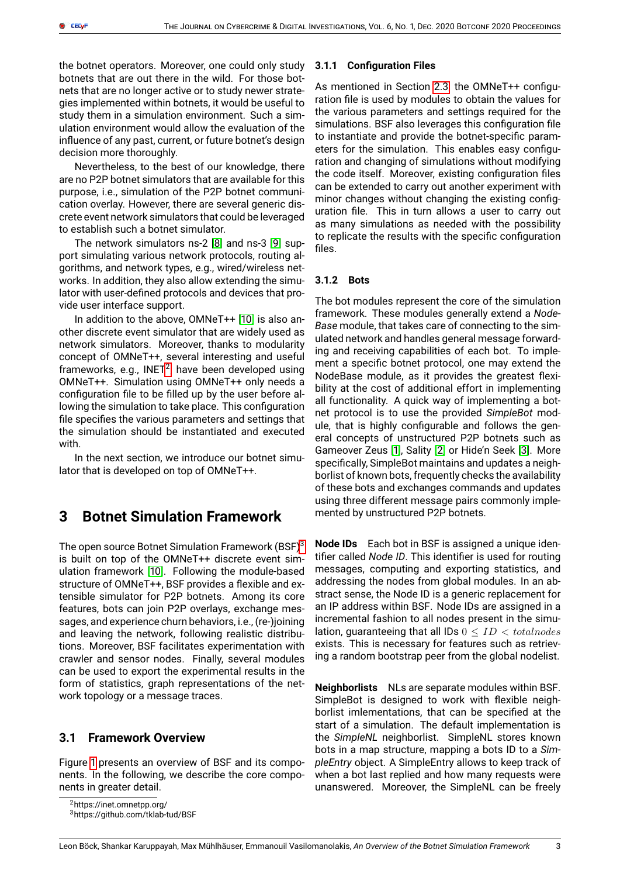the botnet operators. Moreover, one could only study botnets that are out there in the wild. For those botnets that are no longer active or to study newer strategies implemented within botnets, it would be useful to study them in a simulation environment. Such a simulation environment would allow the evaluation of the influence of any past, current, or future botnet's design decision more thoroughly.

Nevertheless, to the best of our knowledge, there are no P2P botnet simulators that are available for this purpose, i.e., simulation of the P2P botnet communication overlay. However, there are several generic discrete event network simulators that could be leveraged to establish such a botnet simulator.

The network simulators ns-2 [\[8\]](#page-9-5) and ns-3 [\[9\]](#page-9-6) support simulating various network protocols, routing algorithms, and network types, e.g., wired/wireless networks. In addition, they also allow extending the simulator with user-defined protocols and devices that provide user interface support.

In addition to the above, OMNeT++ [\[10\]](#page-9-7) is also another discrete event simulator that are widely used as network simulators. Moreover, thanks to modularity concept of OMNeT++, several interesting and useful frameworks, e.g., INET<sup>[2](#page-2-1)</sup>, have been developed using OMNeT++. Simulation using OMNeT++ only needs a configuration file to be filled up by the user before allowing the simulation to take place. This configuration file specifies the various parameters and settings that the simulation should be instantiated and executed with.

In the next section, we introduce our botnet simulator that is developed on top of OMNeT++.

# <span id="page-2-0"></span>**3 Botnet Simulation Framework**

The open source Botnet Simulation Framework (BSF)<sup>[3](#page-2-2)</sup> is built on top of the OMNeT++ discrete event simulation framework [\[10\]](#page-9-7). Following the module-based structure of OMNeT++, BSF provides a flexible and extensible simulator for P2P botnets. Among its core features, bots can join P2P overlays, exchange messages, and experience churn behaviors, i.e., (re-)joining and leaving the network, following realistic distributions. Moreover, BSF facilitates experimentation with crawler and sensor nodes. Finally, several modules can be used to export the experimental results in the form of statistics, graph representations of the network topology or a message traces.

# **3.1 Framework Overview**

Figure [1](#page-3-0) presents an overview of BSF and its components. In the following, we describe the core components in greater detail.

<span id="page-2-1"></span><sup>2</sup>https://inet.omnetpp.org/

<span id="page-2-2"></span><sup>3</sup>https://github.com/tklab-tud/BSF

#### **3.1.1 Configuration Files**

As mentioned in Section [2.3,](#page-1-2) the OMNeT++ configuration file is used by modules to obtain the values for the various parameters and settings required for the simulations. BSF also leverages this configuration file to instantiate and provide the botnet-specific parameters for the simulation. This enables easy configuration and changing of simulations without modifying the code itself. Moreover, existing configuration files can be extended to carry out another experiment with minor changes without changing the existing configuration file. This in turn allows a user to carry out as many simulations as needed with the possibility to replicate the results with the specific configuration files.

#### **3.1.2 Bots**

The bot modules represent the core of the simulation framework. These modules generally extend a *Node-Base* module, that takes care of connecting to the simulated network and handles general message forwarding and receiving capabilities of each bot. To implement a specific botnet protocol, one may extend the NodeBase module, as it provides the greatest flexibility at the cost of additional effort in implementing all functionality. A quick way of implementing a botnet protocol is to use the provided *SimpleBot* module, that is highly configurable and follows the general concepts of unstructured P2P botnets such as Gameover Zeus [\[1\]](#page-8-0), Sality [\[2\]](#page-8-1) or Hide'n Seek [\[3\]](#page-9-0). More specifically, SimpleBot maintains and updates a neighborlist of known bots, frequently checks the availability of these bots and exchanges commands and updates using three different message pairs commonly implemented by unstructured P2P botnets.

**Node IDs** Each bot in BSF is assigned a unique identifier called *Node ID*. This identifier is used for routing messages, computing and exporting statistics, and addressing the nodes from global modules. In an abstract sense, the Node ID is a generic replacement for an IP address within BSF. Node IDs are assigned in a incremental fashion to all nodes present in the simulation, quaranteeing that all IDs  $0 \leq ID < total nodes$ exists. This is necessary for features such as retrieving a random bootstrap peer from the global nodelist.

**Neighborlists** NLs are separate modules within BSF. SimpleBot is designed to work with flexible neighborlist imlementations, that can be specified at the start of a simulation. The default implementation is the *SimpleNL* neighborlist. SimpleNL stores known bots in a map structure, mapping a bots ID to a *SimpleEntry* object. A SimpleEntry allows to keep track of when a bot last replied and how many requests were unanswered. Moreover, the SimpleNL can be freely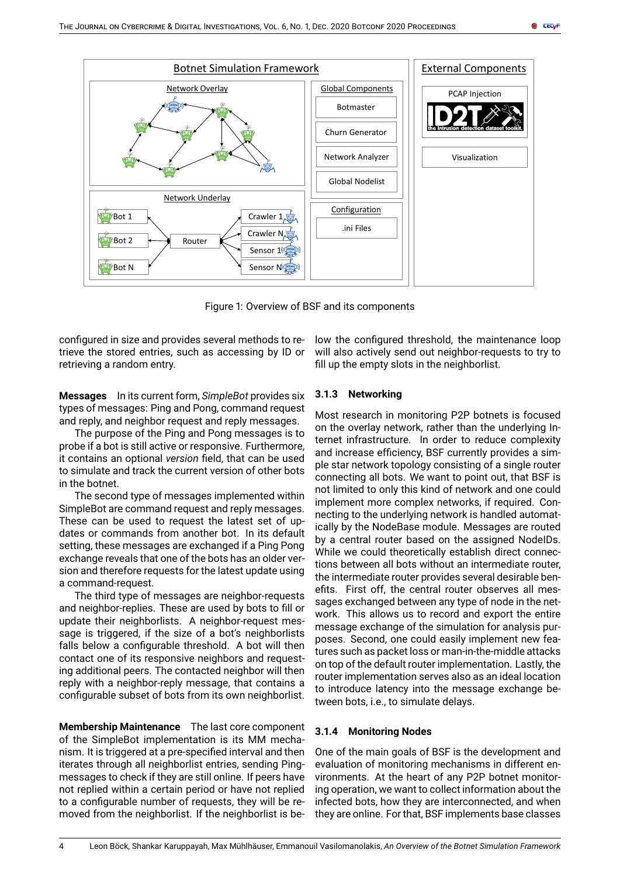

Figure 1: Overview of BSF and its components

configured in size and provides several methods to retrieve the stored entries, such as accessing by ID or retrieving a random entry.

**Messages** In its current form, *SimpleBot* provides six types of messages: Ping and Pong, command request and reply, and neighbor request and reply messages.

The purpose of the Ping and Pong messages is to probe if a bot is still active or responsive. Furthermore, it contains an optional *version* field, that can be used to simulate and track the current version of other bots in the botnet.

The second type of messages implemented within SimpleBot are command request and reply messages. These can be used to request the latest set of updates or commands from another bot. In its default setting, these messages are exchanged if a Ping Pong exchange reveals that one of the bots has an older version and therefore requests for the latest update using a command-request.

The third type of messages are neighbor-requests and neighbor-replies. These are used by bots to fill or update their neighborlists. A neighbor-request message is triggered, if the size of a bot's neighborlists falls below a configurable threshold. A bot will then contact one of its responsive neighbors and requesting additional peers. The contacted neighbor will then reply with a neighbor-reply message, that contains a configurable subset of bots from its own neighborlist.

**Membership Maintenance** The last core component of the SimpleBot implementation is its MM mechanism. It is triggered at a pre-specified interval and then iterates through all neighborlist entries, sending Pingmessages to check if they are still online. If peers have not replied within a certain period or have not replied to a configurable number of requests, they will be removed from the neighborlist. If the neighborlist is be<span id="page-3-0"></span>low the configured threshold, the maintenance loop will also actively send out neighbor-requests to try to fill up the empty slots in the neighborlist.

## **3.1.3 Networking**

Most research in monitoring P2P botnets is focused on the overlay network, rather than the underlying Internet infrastructure. In order to reduce complexity and increase efficiency, BSF currently provides a simple star network topology consisting of a single router connecting all bots. We want to point out, that BSF is not limited to only this kind of network and one could implement more complex networks, if required. Connecting to the underlying network is handled automatically by the NodeBase module. Messages are routed by a central router based on the assigned NodeIDs. While we could theoretically establish direct connections between all bots without an intermediate router, the intermediate router provides several desirable benefits. First off, the central router observes all messages exchanged between any type of node in the network. This allows us to record and export the entire message exchange of the simulation for analysis purposes. Second, one could easily implement new features such as packet loss or man-in-the-middle attacks on top of the default router implementation. Lastly, the router implementation serves also as an ideal location to introduce latency into the message exchange between bots, i.e., to simulate delays.

## **3.1.4 Monitoring Nodes**

One of the main goals of BSF is the development and evaluation of monitoring mechanisms in different environments. At the heart of any P2P botnet monitoring operation, we want to collect information about the infected bots, how they are interconnected, and when they are online. For that, BSF implements base classes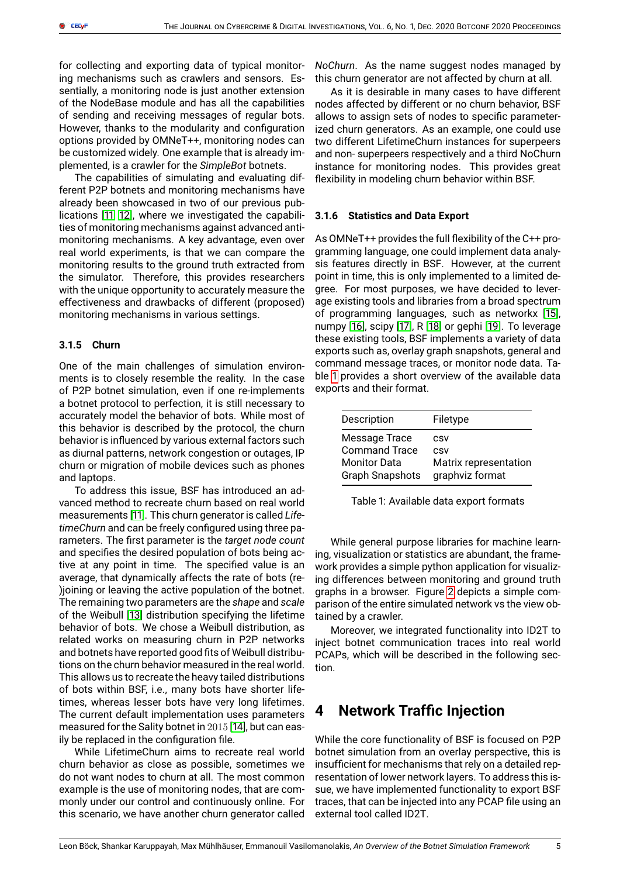for collecting and exporting data of typical monitoring mechanisms such as crawlers and sensors. Essentially, a monitoring node is just another extension of the NodeBase module and has all the capabilities of sending and receiving messages of regular bots. However, thanks to the modularity and configuration options provided by OMNeT++, monitoring nodes can be customized widely. One example that is already implemented, is a crawler for the *SimpleBot* botnets.

The capabilities of simulating and evaluating different P2P botnets and monitoring mechanisms have already been showcased in two of our previous publications [\[11,](#page-9-8) [12\]](#page-9-9), where we investigated the capabilities of monitoring mechanisms against advanced antimonitoring mechanisms. A key advantage, even over real world experiments, is that we can compare the monitoring results to the ground truth extracted from the simulator. Therefore, this provides researchers with the unique opportunity to accurately measure the effectiveness and drawbacks of different (proposed) monitoring mechanisms in various settings.

#### **3.1.5 Churn**

One of the main challenges of simulation environments is to closely resemble the reality. In the case of P2P botnet simulation, even if one re-implements a botnet protocol to perfection, it is still necessary to accurately model the behavior of bots. While most of this behavior is described by the protocol, the churn behavior is influenced by various external factors such as diurnal patterns, network congestion or outages, IP churn or migration of mobile devices such as phones and laptops.

To address this issue, BSF has introduced an advanced method to recreate churn based on real world measurements [\[11\]](#page-9-8). This churn generator is called *LifetimeChurn* and can be freely configured using three parameters. The first parameter is the *target node count* and specifies the desired population of bots being active at any point in time. The specified value is an average, that dynamically affects the rate of bots (re- )joining or leaving the active population of the botnet. The remaining two parameters are the *shape* and *scale* of the Weibull [\[13\]](#page-9-10) distribution specifying the lifetime behavior of bots. We chose a Weibull distribution, as related works on measuring churn in P2P networks and botnets have reported good fits of Weibull distributions on the churn behavior measured in the real world. This allows us to recreate the heavy tailed distributions of bots within BSF, i.e., many bots have shorter lifetimes, whereas lesser bots have very long lifetimes. The current default implementation uses parameters measured for the Sality botnet in 2015 [\[14\]](#page-9-11), but can easily be replaced in the configuration file.

While LifetimeChurn aims to recreate real world churn behavior as close as possible, sometimes we do not want nodes to churn at all. The most common example is the use of monitoring nodes, that are commonly under our control and continuously online. For this scenario, we have another churn generator called

*NoChurn*. As the name suggest nodes managed by this churn generator are not affected by churn at all.

As it is desirable in many cases to have different nodes affected by different or no churn behavior, BSF allows to assign sets of nodes to specific parameterized churn generators. As an example, one could use two different LifetimeChurn instances for superpeers and non- superpeers respectively and a third NoChurn instance for monitoring nodes. This provides great flexibility in modeling churn behavior within BSF.

#### **3.1.6 Statistics and Data Export**

As OMNeT++ provides the full flexibility of the C++ programming language, one could implement data analysis features directly in BSF. However, at the current point in time, this is only implemented to a limited degree. For most purposes, we have decided to leverage existing tools and libraries from a broad spectrum of programming languages, such as networkx [\[15\]](#page-9-12), numpy [\[16\]](#page-9-13), scipy [\[17\]](#page-9-14), R [\[18\]](#page-9-15) or gephi [\[19\]](#page-9-16). To leverage these existing tools, BSF implements a variety of data exports such as, overlay graph snapshots, general and command message traces, or monitor node data. Table [1](#page-4-1) provides a short overview of the available data exports and their format.

| Description            | Filetype              |
|------------------------|-----------------------|
| Message Trace          | CSV                   |
| <b>Command Trace</b>   | CSV                   |
| <b>Monitor Data</b>    | Matrix representation |
| <b>Graph Snapshots</b> | graphviz format       |

<span id="page-4-1"></span>Table 1: Available data export formats

While general purpose libraries for machine learning, visualization or statistics are abundant, the framework provides a simple python application for visualizing differences between monitoring and ground truth graphs in a browser. Figure [2](#page-5-0) depicts a simple comparison of the entire simulated network vs the view obtained by a crawler.

Moreover, we integrated functionality into ID2T to inject botnet communication traces into real world PCAPs, which will be described in the following section.

# <span id="page-4-0"></span>**4 Network Traffic Injection**

While the core functionality of BSF is focused on P2P botnet simulation from an overlay perspective, this is insufficient for mechanisms that rely on a detailed representation of lower network layers. To address this issue, we have implemented functionality to export BSF traces, that can be injected into any PCAP file using an external tool called ID2T.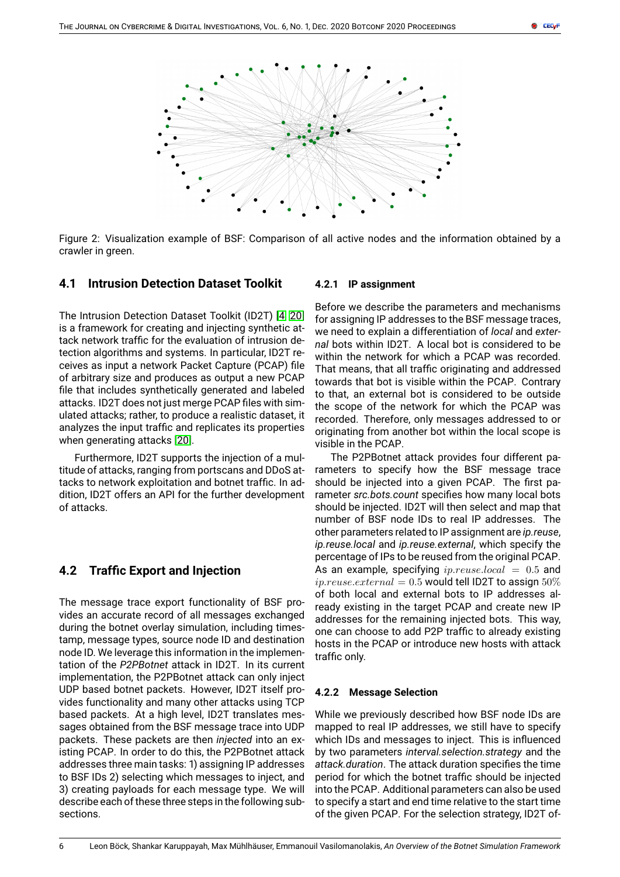

Figure 2: Visualization example of BSF: Comparison of all active nodes and the information obtained by a crawler in green.

## **4.1 Intrusion Detection Dataset Toolkit**

The Intrusion Detection Dataset Toolkit (ID2T) [\[4,](#page-9-1) [20\]](#page-9-17) is a framework for creating and injecting synthetic attack network traffic for the evaluation of intrusion detection algorithms and systems. In particular, ID2T receives as input a network Packet Capture (PCAP) file of arbitrary size and produces as output a new PCAP file that includes synthetically generated and labeled attacks. ID2T does not just merge PCAP files with simulated attacks; rather, to produce a realistic dataset, it analyzes the input traffic and replicates its properties when generating attacks [\[20\]](#page-9-17).

Furthermore, ID2T supports the injection of a multitude of attacks, ranging from portscans and DDoS attacks to network exploitation and botnet traffic. In addition, ID2T offers an API for the further development of attacks.

# **4.2 Traffic Export and Injection**

The message trace export functionality of BSF provides an accurate record of all messages exchanged during the botnet overlay simulation, including timestamp, message types, source node ID and destination node ID. We leverage this information in the implementation of the *P2PBotnet* attack in ID2T. In its current implementation, the P2PBotnet attack can only inject UDP based botnet packets. However, ID2T itself provides functionality and many other attacks using TCP based packets. At a high level, ID2T translates messages obtained from the BSF message trace into UDP packets. These packets are then *injected* into an existing PCAP. In order to do this, the P2PBotnet attack addresses three main tasks: 1) assigning IP addresses to BSF IDs 2) selecting which messages to inject, and 3) creating payloads for each message type. We will describe each of these three steps in the following subsections.

#### <span id="page-5-0"></span>**4.2.1 IP assignment**

Before we describe the parameters and mechanisms for assigning IP addresses to the BSF message traces, we need to explain a differentiation of *local* and *external* bots within ID2T. A local bot is considered to be within the network for which a PCAP was recorded. That means, that all traffic originating and addressed towards that bot is visible within the PCAP. Contrary to that, an external bot is considered to be outside the scope of the network for which the PCAP was recorded. Therefore, only messages addressed to or originating from another bot within the local scope is visible in the PCAP.

The P2PBotnet attack provides four different parameters to specify how the BSF message trace should be injected into a given PCAP. The first parameter *src.bots.count* specifies how many local bots should be injected. ID2T will then select and map that number of BSF node IDs to real IP addresses. The other parameters related to IP assignment are *ip.reuse*, *ip.reuse.local* and *ip.reuse.external*, which specify the percentage of IPs to be reused from the original PCAP. As an example, specifying  $ip.reuse.load = 0.5$  and  $ip.reuse. external = 0.5$  would tell ID2T to assign  $50\%$ of both local and external bots to IP addresses already existing in the target PCAP and create new IP addresses for the remaining injected bots. This way, one can choose to add P2P traffic to already existing hosts in the PCAP or introduce new hosts with attack traffic only.

#### **4.2.2 Message Selection**

While we previously described how BSF node IDs are mapped to real IP addresses, we still have to specify which IDs and messages to inject. This is influenced by two parameters *interval.selection.strategy* and the *attack.duration*. The attack duration specifies the time period for which the botnet traffic should be injected into the PCAP. Additional parameters can also be used to specify a start and end time relative to the start time of the given PCAP. For the selection strategy, ID2T of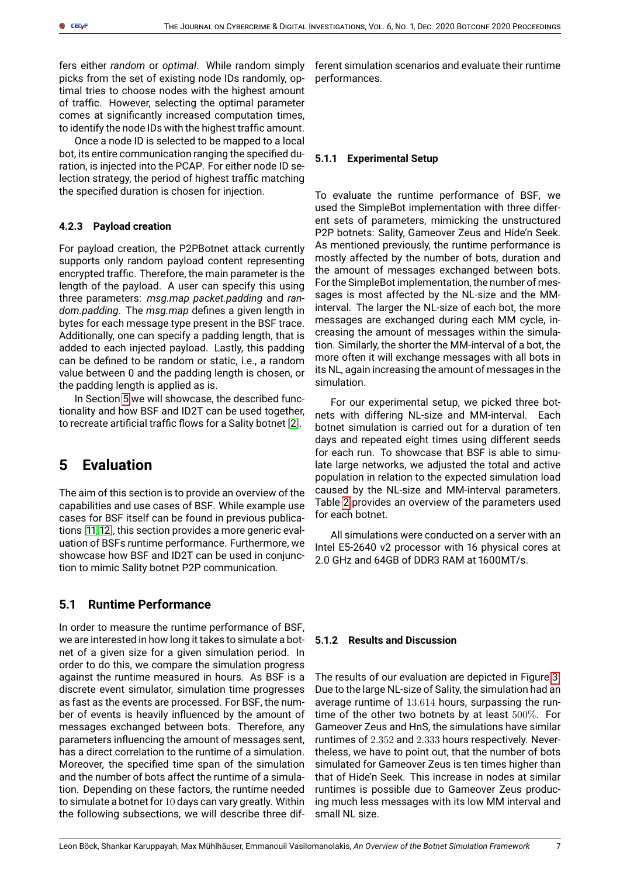fers either *random* or *optimal*. While random simply picks from the set of existing node IDs randomly, optimal tries to choose nodes with the highest amount of traffic. However, selecting the optimal parameter comes at significantly increased computation times, to identify the node IDs with the highest traffic amount.

Once a node ID is selected to be mapped to a local bot, its entire communication ranging the specified duration, is injected into the PCAP. For either node ID selection strategy, the period of highest traffic matching the specified duration is chosen for injection.

#### **4.2.3 Payload creation**

For payload creation, the P2PBotnet attack currently supports only random payload content representing encrypted traffic. Therefore, the main parameter is the length of the payload. A user can specify this using three parameters: *msg.map packet.padding* and *random.padding*. The *msg.map* defines a given length in bytes for each message type present in the BSF trace. Additionally, one can specify a padding length, that is added to each injected payload. Lastly, this padding can be defined to be random or static, i.e., a random value between 0 and the padding length is chosen, or the padding length is applied as is.

In Section [5](#page-6-0) we will showcase, the described functionality and how BSF and ID2T can be used together, to recreate artificial traffic flows for a Sality botnet [\[2\]](#page-8-1).

# <span id="page-6-0"></span>**5 Evaluation**

The aim of this section is to provide an overview of the capabilities and use cases of BSF. While example use cases for BSF itself can be found in previous publications [\[11,](#page-9-8) [12\]](#page-9-9), this section provides a more generic evaluation of BSFs runtime performance. Furthermore, we showcase how BSF and ID2T can be used in conjunction to mimic Sality botnet P2P communication.

# **5.1 Runtime Performance**

In order to measure the runtime performance of BSF, we are interested in how long it takes to simulate a botnet of a given size for a given simulation period. In order to do this, we compare the simulation progress against the runtime measured in hours. As BSF is a discrete event simulator, simulation time progresses as fast as the events are processed. For BSF, the number of events is heavily influenced by the amount of messages exchanged between bots. Therefore, any parameters influencing the amount of messages sent, has a direct correlation to the runtime of a simulation. Moreover, the specified time span of the simulation and the number of bots affect the runtime of a simulation. Depending on these factors, the runtime needed to simulate a botnet for 10 days can vary greatly. Within the following subsections, we will describe three different simulation scenarios and evaluate their runtime performances.

#### **5.1.1 Experimental Setup**

To evaluate the runtime performance of BSF, we used the SimpleBot implementation with three different sets of parameters, mimicking the unstructured P2P botnets: Sality, Gameover Zeus and Hide'n Seek. As mentioned previously, the runtime performance is mostly affected by the number of bots, duration and the amount of messages exchanged between bots. For the SimpleBot implementation, the number of messages is most affected by the NL-size and the MMinterval. The larger the NL-size of each bot, the more messages are exchanged during each MM cycle, increasing the amount of messages within the simulation. Similarly, the shorter the MM-interval of a bot, the more often it will exchange messages with all bots in its NL, again increasing the amount of messages in the simulation.

For our experimental setup, we picked three botnets with differing NL-size and MM-interval. Each botnet simulation is carried out for a duration of ten days and repeated eight times using different seeds for each run. To showcase that BSF is able to simulate large networks, we adjusted the total and active population in relation to the expected simulation load caused by the NL-size and MM-interval parameters. Table [2](#page-7-0) provides an overview of the parameters used for each botnet.

All simulations were conducted on a server with an Intel E5-2640 v2 processor with 16 physical cores at 2.0 GHz and 64GB of DDR3 RAM at 1600MT/s.

#### **5.1.2 Results and Discussion**

The results of our evaluation are depicted in Figure [3.](#page-7-1) Due to the large NL-size of Sality, the simulation had an average runtime of 13.614 hours, surpassing the runtime of the other two botnets by at least 500%. For Gameover Zeus and HnS, the simulations have similar runtimes of 2.352 and 2.333 hours respectively. Nevertheless, we have to point out, that the number of bots simulated for Gameover Zeus is ten times higher than that of Hide'n Seek. This increase in nodes at similar runtimes is possible due to Gameover Zeus producing much less messages with its low MM interval and small NL size.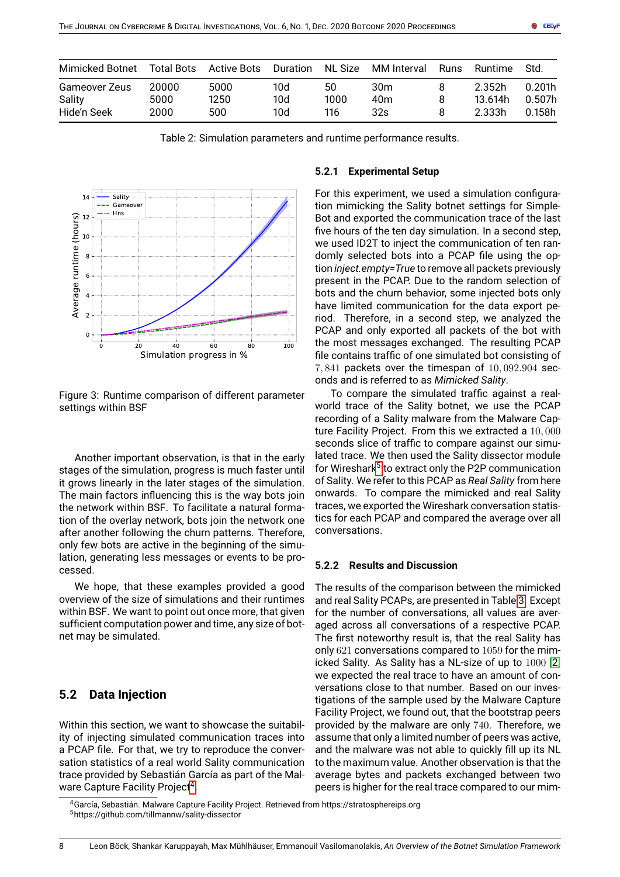| Mimicked Botnet | Total Bots | Active Bots | Duration |      | NL Size MM Interval | Runs | Runtime | -Std.  |
|-----------------|------------|-------------|----------|------|---------------------|------|---------|--------|
| Gameover Zeus   | 20000      | 5000        | 10d      | 50   | 30 <sub>m</sub>     |      | 2.352h  | 0.201h |
| Sality          | 5000       | 1250        | 10d      | 1000 | 40 <sub>m</sub>     |      | 13.614h | 0.507h |
| Hide'n Seek     | 2000       | 500         | 10d      | 116  | 32s                 |      | 2.333h  | 0.158h |

Table 2: Simulation parameters and runtime performance results.



<span id="page-7-1"></span>Figure 3: Runtime comparison of different parameter settings within BSF

Another important observation, is that in the early stages of the simulation, progress is much faster until it grows linearly in the later stages of the simulation. The main factors influencing this is the way bots join the network within BSF. To facilitate a natural formation of the overlay network, bots join the network one after another following the churn patterns. Therefore, only few bots are active in the beginning of the simulation, generating less messages or events to be processed.

We hope, that these examples provided a good overview of the size of simulations and their runtimes within BSF. We want to point out once more, that given sufficient computation power and time, any size of botnet may be simulated.

# **5.2 Data Injection**

Within this section, we want to showcase the suitability of injecting simulated communication traces into a PCAP file. For that, we try to reproduce the conversation statistics of a real world Sality communication trace provided by Sebastián García as part of the Mal-ware Capture Facility Project<sup>[4](#page-7-2)</sup>.

#### <span id="page-7-0"></span>**5.2.1 Experimental Setup**

For this experiment, we used a simulation configuration mimicking the Sality botnet settings for Simple-Bot and exported the communication trace of the last five hours of the ten day simulation. In a second step, we used ID2T to inject the communication of ten randomly selected bots into a PCAP file using the option *inject.empty=True* to remove all packets previously present in the PCAP. Due to the random selection of bots and the churn behavior, some injected bots only have limited communication for the data export period. Therefore, in a second step, we analyzed the PCAP and only exported all packets of the bot with the most messages exchanged. The resulting PCAP file contains traffic of one simulated bot consisting of  $7,841$  packets over the timespan of  $10,092.904$  seconds and is referred to as *Mimicked Sality*.

To compare the simulated traffic against a realworld trace of the Sality botnet, we use the PCAP recording of a Sality malware from the Malware Capture Facility Project. From this we extracted a 10, 000 seconds slice of traffic to compare against our simulated trace. We then used the Sality dissector module for Wireshark<sup>[5](#page-7-3)</sup> to extract only the P2P communication of Sality. We refer to this PCAP as *Real Sality* from here onwards. To compare the mimicked and real Sality traces, we exported the Wireshark conversation statistics for each PCAP and compared the average over all conversations.

## **5.2.2 Results and Discussion**

The results of the comparison between the mimicked and real Sality PCAPs, are presented in Table [3.](#page-8-3) Except for the number of conversations, all values are averaged across all conversations of a respective PCAP. The first noteworthy result is, that the real Sality has only 621 conversations compared to 1059 for the mimicked Sality. As Sality has a NL-size of up to 1000 [\[2\]](#page-8-1) we expected the real trace to have an amount of conversations close to that number. Based on our investigations of the sample used by the Malware Capture Facility Project, we found out, that the bootstrap peers provided by the malware are only 740. Therefore, we assume that only a limited number of peers was active, and the malware was not able to quickly fill up its NL to the maximum value. Another observation is that the average bytes and packets exchanged between two peers is higher for the real trace compared to our mim-

<span id="page-7-3"></span><span id="page-7-2"></span><sup>4</sup>García, Sebastián. Malware Capture Facility Project. Retrieved from https://stratosphereips.org <sup>5</sup>https://github.com/tillmannw/sality-dissector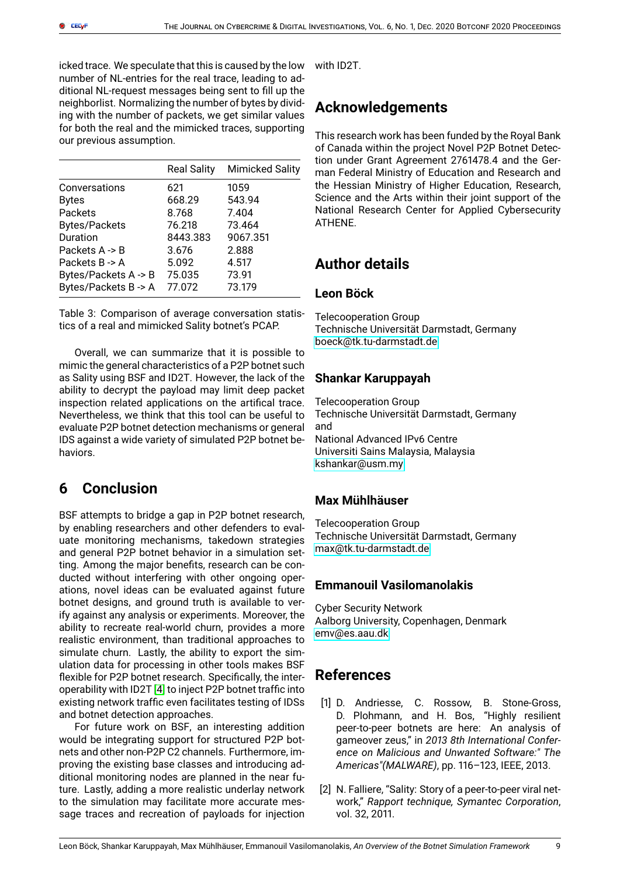icked trace. We speculate that this is caused by the low number of NL-entries for the real trace, leading to additional NL-request messages being sent to fill up the neighborlist. Normalizing the number of bytes by dividing with the number of packets, we get similar values for both the real and the mimicked traces, supporting our previous assumption.

|                           | <b>Real Sality</b> | <b>Mimicked Sality</b> |
|---------------------------|--------------------|------------------------|
| Conversations             | 621                | 1059                   |
| <b>Bytes</b>              | 668.29             | 543.94                 |
| Packets                   | 8.768              | 7.404                  |
| <b>Bytes/Packets</b>      | 76.218             | 73.464                 |
| Duration                  | 8443.383           | 9067.351               |
| Packets $A \rightarrow B$ | 3.676              | 2.888                  |
| Packets B -> A            | 5.092              | 4.517                  |
| Bytes/Packets A -> B      | 75.035             | 73.91                  |
| Bytes/Packets B-> A       | 77.072             | 73.179                 |

Table 3: Comparison of average conversation statistics of a real and mimicked Sality botnet's PCAP.

Overall, we can summarize that it is possible to mimic the general characteristics of a P2P botnet such as Sality using BSF and ID2T. However, the lack of the ability to decrypt the payload may limit deep packet inspection related applications on the artifical trace. Nevertheless, we think that this tool can be useful to evaluate P2P botnet detection mechanisms or general IDS against a wide variety of simulated P2P botnet behaviors.

# <span id="page-8-2"></span>**6 Conclusion**

BSF attempts to bridge a gap in P2P botnet research, by enabling researchers and other defenders to evaluate monitoring mechanisms, takedown strategies and general P2P botnet behavior in a simulation setting. Among the major benefits, research can be conducted without interfering with other ongoing operations, novel ideas can be evaluated against future botnet designs, and ground truth is available to verify against any analysis or experiments. Moreover, the ability to recreate real-world churn, provides a more realistic environment, than traditional approaches to simulate churn. Lastly, the ability to export the simulation data for processing in other tools makes BSF flexible for P2P botnet research. Specifically, the interoperability with ID2T [\[4\]](#page-9-1) to inject P2P botnet traffic into existing network traffic even facilitates testing of IDSs and botnet detection approaches.

For future work on BSF, an interesting addition would be integrating support for structured P2P botnets and other non-P2P C2 channels. Furthermore, improving the existing base classes and introducing additional monitoring nodes are planned in the near future. Lastly, adding a more realistic underlay network to the simulation may facilitate more accurate message traces and recreation of payloads for injection with ID2T.

# **Acknowledgements**

This research work has been funded by the Royal Bank of Canada within the project Novel P2P Botnet Detection under Grant Agreement 2761478.4 and the German Federal Ministry of Education and Research and the Hessian Ministry of Higher Education, Research, Science and the Arts within their joint support of the National Research Center for Applied Cybersecurity ATHENE.

# <span id="page-8-3"></span>**Author details**

## **Leon Böck**

Telecooperation Group Technische Universität Darmstadt, Germany [boeck@tk.tu-darmstadt.de](mailto:boeck@tk.tu-darmstadt.de)

## **Shankar Karuppayah**

Telecooperation Group Technische Universität Darmstadt, Germany and National Advanced IPv6 Centre Universiti Sains Malaysia, Malaysia [kshankar@usm.my](mailto:kshankar@usm.my)

# **Max Mühlhäuser**

Telecooperation Group Technische Universität Darmstadt, Germany [max@tk.tu-darmstadt.de](mailto:max@tk.tu-darmstadt.de)

## **Emmanouil Vasilomanolakis**

Cyber Security Network Aalborg University, Copenhagen, Denmark [emv@es.aau.dk](mailto:emv@es.aau.dk)

# **References**

- <span id="page-8-0"></span>[1] D. Andriesse, C. Rossow, B. Stone-Gross, D. Plohmann, and H. Bos, "Highly resilient peer-to-peer botnets are here: An analysis of gameover zeus," in *2013 8th International Conference on Malicious and Unwanted Software:" The Americas"(MALWARE)*, pp. 116–123, IEEE, 2013.
- <span id="page-8-1"></span>[2] N. Falliere, "Sality: Story of a peer-to-peer viral network," *Rapport technique, Symantec Corporation*, vol. 32, 2011.